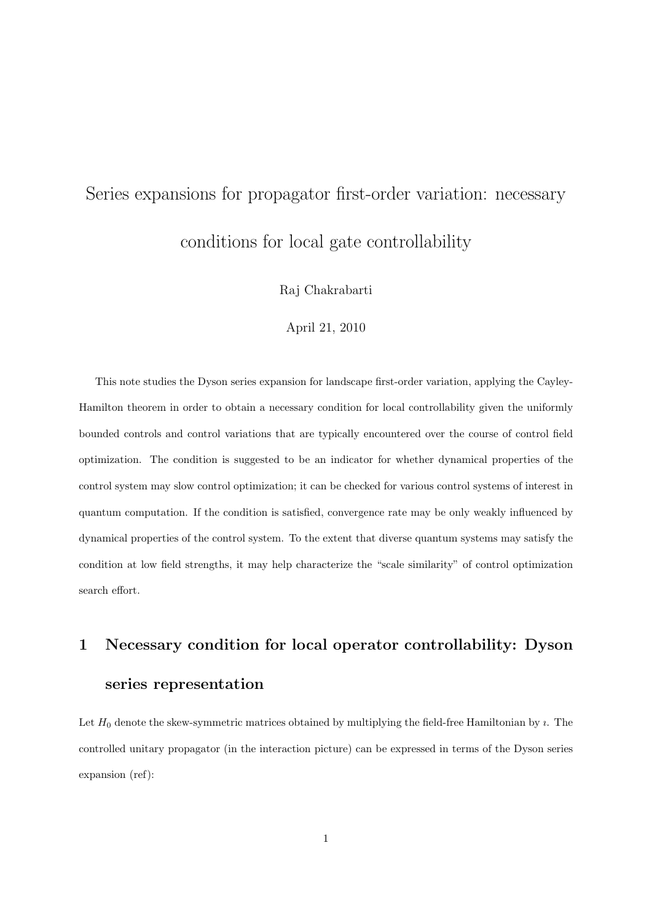# Series expansions for propagator first-order variation: necessary conditions for local gate controllability

Raj Chakrabarti

April 21, 2010

This note studies the Dyson series expansion for landscape first-order variation, applying the Cayley-Hamilton theorem in order to obtain a necessary condition for local controllability given the uniformly bounded controls and control variations that are typically encountered over the course of control field optimization. The condition is suggested to be an indicator for whether dynamical properties of the control system may slow control optimization; it can be checked for various control systems of interest in quantum computation. If the condition is satisfied, convergence rate may be only weakly influenced by dynamical properties of the control system. To the extent that diverse quantum systems may satisfy the condition at low field strengths, it may help characterize the "scale similarity" of control optimization search effort.

## **1 Necessary condition for local operator controllability: Dyson series representation**

Let  $H_0$  denote the skew-symmetric matrices obtained by multiplying the field-free Hamiltonian by  $\imath$ . The controlled unitary propagator (in the interaction picture) can be expressed in terms of the Dyson series expansion (ref):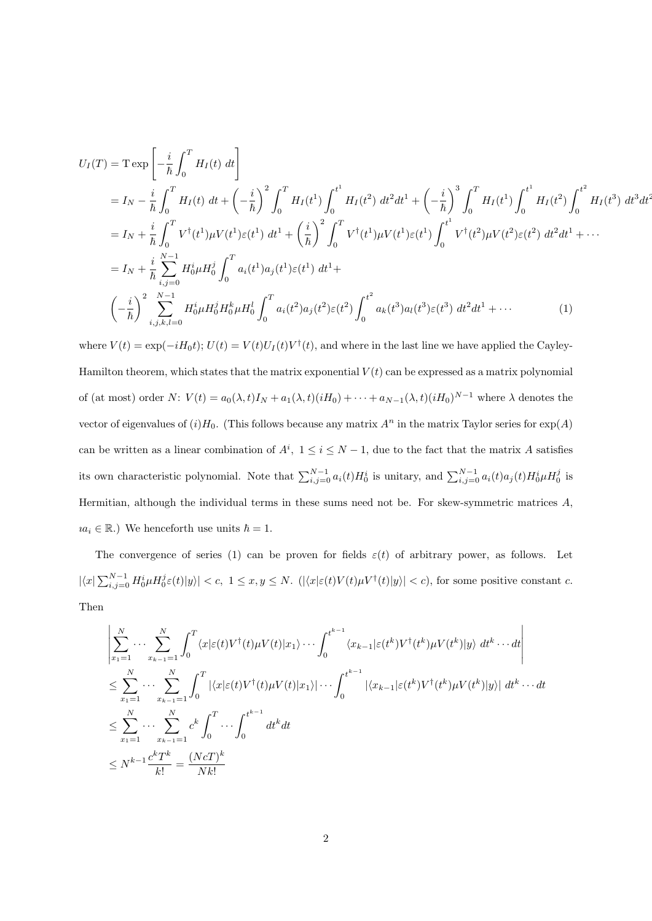$$
U_{I}(T) = T \exp\left[-\frac{i}{\hbar} \int_{0}^{T} H_{I}(t) dt\right]
$$
  
\n
$$
= I_{N} - \frac{i}{\hbar} \int_{0}^{T} H_{I}(t) dt + \left(-\frac{i}{\hbar}\right)^{2} \int_{0}^{T} H_{I}(t^{1}) \int_{0}^{t^{1}} H_{I}(t^{2}) dt^{2} dt^{1} + \left(-\frac{i}{\hbar}\right)^{3} \int_{0}^{T} H_{I}(t^{1}) \int_{0}^{t^{1}} H_{I}(t^{2}) \int_{0}^{t^{2}} H_{I}(t^{3}) dt^{3} dt^{3} dt^{4}
$$
  
\n
$$
= I_{N} + \frac{i}{\hbar} \int_{0}^{T} V^{\dagger}(t^{1}) \mu V(t^{1}) \varepsilon(t^{1}) dt^{1} + \left(\frac{i}{\hbar}\right)^{2} \int_{0}^{T} V^{\dagger}(t^{1}) \mu V(t^{1}) \varepsilon(t^{1}) \int_{0}^{t^{1}} V^{\dagger}(t^{2}) \mu V(t^{2}) \varepsilon(t^{2}) dt^{2} dt^{1} + \cdots
$$
  
\n
$$
= I_{N} + \frac{i}{\hbar} \sum_{i,j=0}^{N-1} H_{0}^{i} \mu H_{0}^{j} \int_{0}^{T} a_{i}(t^{1}) a_{j}(t^{1}) \varepsilon(t^{1}) dt^{1} +
$$
  
\n
$$
\left(-\frac{i}{\hbar}\right)^{2} \sum_{i,j,k,l=0}^{N-1} H_{0}^{i} \mu H_{0}^{j} H_{0}^{k} \mu H_{0}^{l} \int_{0}^{T} a_{i}(t^{2}) a_{j}(t^{2}) \varepsilon(t^{2}) \int_{0}^{t^{2}} a_{k}(t^{3}) a_{l}(t^{3}) \varepsilon(t^{3}) dt^{2} dt^{1} + \cdots
$$
\n(1)

where  $V(t) = \exp(-iH_0t)$ ;  $U(t) = V(t)U_I(t)V^{\dagger}(t)$ , and where in the last line we have applied the Cayley-Hamilton theorem, which states that the matrix exponential  $V(t)$  can be expressed as a matrix polynomial of (at most) order N:  $V(t) = a_0(\lambda, t)I_N + a_1(\lambda, t)(iH_0) + \cdots + a_{N-1}(\lambda, t)(iH_0)^{N-1}$  where  $\lambda$  denotes the vector of eigenvalues of  $(i)H_0$ . (This follows because any matrix  $A^n$  in the matrix Taylor series for  $\exp(A)$ can be written as a linear combination of  $A^i$ ,  $1 \leq i \leq N-1$ , due to the fact that the matrix *A* satisfies its own characteristic polynomial. Note that  $\sum_{i,j=0}^{N-1} a_i(t) H_0^i$  is unitary, and  $\sum_{i,j=0}^{N-1} a_i(t) a_j(t) H_0^i \mu H_0^j$  is Hermitian, although the individual terms in these sums need not be. For skew-symmetric matrices *A*,  $i a_i \in \mathbb{R}$ .) We henceforth use units  $\hbar = 1$ .

The convergence of series (1) can be proven for fields  $\varepsilon(t)$  of arbitrary power, as follows. Let  $|\langle x|\sum_{i,j=0}^{N-1} H_0^i \mu H_0^j \varepsilon(t)|y\rangle| < c, 1 \le x, y \le N.$   $(|\langle x|\varepsilon(t)V(t)\mu V^{\dagger}(t)|y\rangle| < c)$ , for some positive constant c. Then

$$
\left| \sum_{x_1=1}^N \cdots \sum_{x_{k-1}=1}^N \int_0^T \langle x | \varepsilon(t) V^\dagger(t) \mu V(t) | x_1 \rangle \cdots \int_0^{t^{k-1}} \langle x_{k-1} | \varepsilon(t^k) V^\dagger(t^k) \mu V(t^k) | y \rangle dt^k \cdots dt \right|
$$
  
\n
$$
\leq \sum_{x_1=1}^N \cdots \sum_{x_{k-1}=1}^N \int_0^T |\langle x | \varepsilon(t) V^\dagger(t) \mu V(t) | x_1 \rangle| \cdots \int_0^{t^{k-1}} |\langle x_{k-1} | \varepsilon(t^k) V^\dagger(t^k) \mu V(t^k) | y \rangle| dt^k \cdots dt
$$
  
\n
$$
\leq \sum_{x_1=1}^N \cdots \sum_{x_{k-1}=1}^N c^k \int_0^T \cdots \int_0^{t^{k-1}} dt^k dt
$$
  
\n
$$
\leq N^{k-1} \frac{c^k T^k}{k!} = \frac{(N c T)^k}{N k!}
$$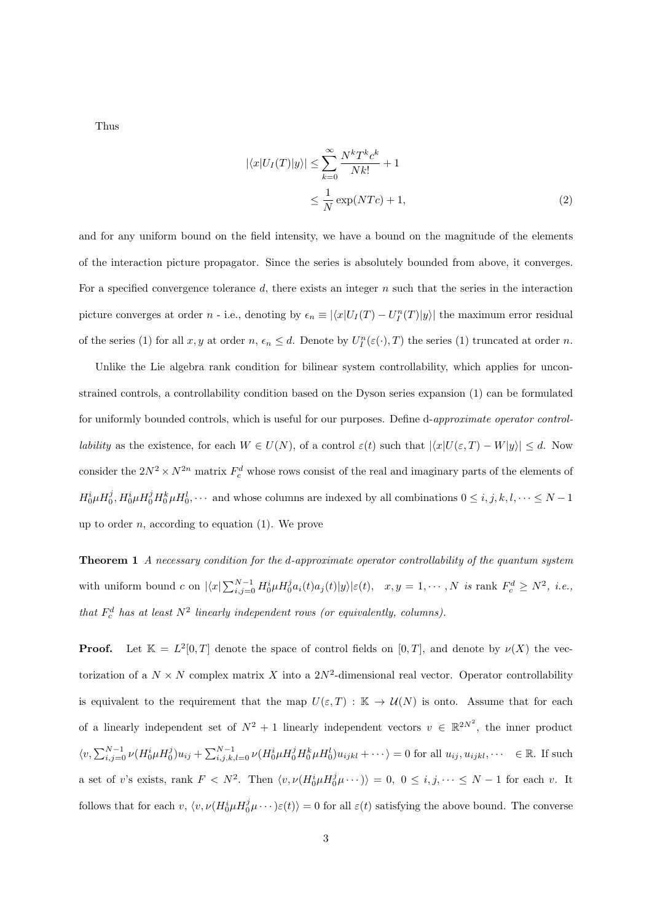Thus

$$
|\langle x|U_I(T)|y\rangle| \le \sum_{k=0}^{\infty} \frac{N^k T^k c^k}{Nk!} + 1
$$
  

$$
\le \frac{1}{N} \exp(NTc) + 1,
$$
 (2)

and for any uniform bound on the field intensity, we have a bound on the magnitude of the elements of the interaction picture propagator. Since the series is absolutely bounded from above, it converges. For a specified convergence tolerance *d*, there exists an integer *n* such that the series in the interaction picture converges at order n - i.e., denoting by  $\epsilon_n \equiv |\langle x|U_I(T) - U_I^n(T)|y\rangle|$  the maximum error residual of the series (1) for all  $x, y$  at order  $n, \epsilon_n \leq d$ . Denote by  $U_I^n(\varepsilon(\cdot), T)$  the series (1) truncated at order  $n$ .

Unlike the Lie algebra rank condition for bilinear system controllability, which applies for unconstrained controls, a controllability condition based on the Dyson series expansion (1) can be formulated for uniformly bounded controls, which is useful for our purposes. Define d-*approximate operator control*lability as the existence, for each  $W \in U(N)$ , of a control  $\varepsilon(t)$  such that  $|\langle x|U(\varepsilon,T) - W|y\rangle| \le d$ . Now consider the  $2N^2 \times N^{2n}$  matrix  $F_c^d$  whose rows consist of the real and imaginary parts of the elements of  $H_0^i \mu H_0^j$ ,  $H_0^i \mu H_0^j H_0^k \mu H_0^l$ ,  $\cdots$  and whose columns are indexed by all combinations  $0 \le i, j, k, l, \cdots \le N-1$ up to order *n*, according to equation (1). We prove

**Theorem 1** *A necessary condition for the d-approximate operator controllability of the quantum system* with uniform bound c on  $|\langle x|\sum_{i,j=0}^{N-1} H_0^i \mu H_0^j a_i(t) a_j(t)|y\rangle|\varepsilon(t), x, y = 1, \cdots, N$  is rank  $F_c^d \geq N^2$ , i.e., *that*  $F_c^d$  *has at least*  $N^2$  *linearly independent rows (or equivalently, columns).* 

**Proof.** Let  $\mathbb{K} = L^2[0,T]$  denote the space of control fields on  $[0,T]$ , and denote by  $\nu(X)$  the vectorization of a  $N \times N$  complex matrix X into a  $2N^2$ -dimensional real vector. Operator controllability is equivalent to the requirement that the map  $U(\varepsilon,T): \mathbb{K} \to \mathcal{U}(N)$  is onto. Assume that for each of a linearly independent set of  $N^2 + 1$  linearly independent vectors  $v \in \mathbb{R}^{2N^2}$ , the inner product  $\langle v, \sum_{i,j=0}^{N-1} \nu(H_0^i \mu H_0^j) u_{ij} + \sum_{i,j,k,l=0}^{N-1} \nu(H_0^i \mu H_0^j H_0^k \mu H_0^l) u_{ijkl} + \cdots \rangle = 0$  for all  $u_{ij}, u_{ijkl}, \cdots \in \mathbb{R}$ . If such a set of v's exists, rank  $F < N^2$ . Then  $\langle v, \nu(H_0^i \mu H_0^j \mu \cdots) \rangle = 0, 0 \le i, j, \dots \le N-1$  for each v. It follows that for each  $v, \langle v, \nu(H_0^i \mu H_0^j \mu \cdots)\varepsilon(t)\rangle = 0$  for all  $\varepsilon(t)$  satisfying the above bound. The converse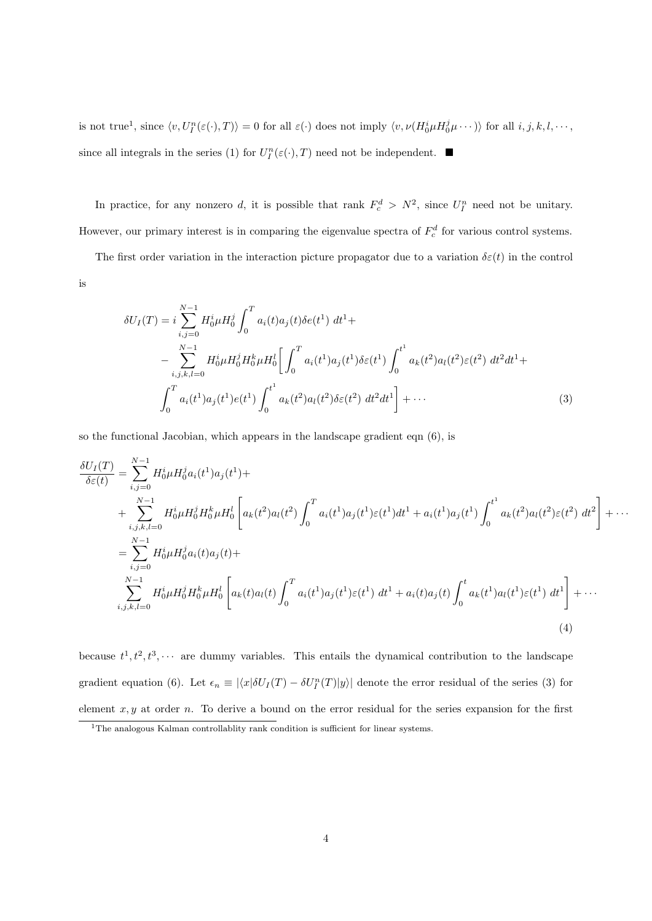is not true<sup>1</sup>, since  $\langle v, U_I^n(\varepsilon(\cdot), T) \rangle = 0$  for all  $\varepsilon(\cdot)$  does not imply  $\langle v, \nu(H_0^i \mu H_0^j \mu \cdots) \rangle$  for all  $i, j, k, l, \cdots$ , since all integrals in the series (1) for  $U_I^n(\varepsilon(\cdot),T)$  need not be independent.

In practice, for any nonzero *d*, it is possible that rank  $F_c^d > N^2$ , since  $U_I^n$  need not be unitary. However, our primary interest is in comparing the eigenvalue spectra of  $F_c^d$  for various control systems.

The first order variation in the interaction picture propagator due to a variation  $\delta \varepsilon(t)$  in the control is

$$
\delta U_I(T) = i \sum_{i,j=0}^{N-1} H_0^i \mu H_0^j \int_0^T a_i(t) a_j(t) \delta e(t^1) dt^1 +
$$
  
 
$$
- \sum_{i,j,k,l=0}^{N-1} H_0^i \mu H_0^j H_0^k \mu H_0^l \left[ \int_0^T a_i(t^1) a_j(t^1) \delta \varepsilon(t^1) \int_0^{t^1} a_k(t^2) a_l(t^2) \varepsilon(t^2) dt^2 dt^1 +
$$
  
 
$$
\int_0^T a_i(t^1) a_j(t^1) e(t^1) \int_0^{t^1} a_k(t^2) a_l(t^2) \delta \varepsilon(t^2) dt^2 dt^1 \right] + \cdots
$$
 (3)

so the functional Jacobian, which appears in the landscape gradient eqn (6), is

$$
\frac{\delta U_I(T)}{\delta \varepsilon(t)} = \sum_{i,j=0}^{N-1} H_0^i \mu H_0^j a_i(t^1) a_j(t^1) +
$$
\n
$$
+ \sum_{i,j,k,l=0}^{N-1} H_0^i \mu H_0^j H_0^k \mu H_0^l \left[ a_k(t^2) a_l(t^2) \int_0^T a_i(t^1) a_j(t^1) \varepsilon(t^1) dt^1 + a_i(t^1) a_j(t^1) \int_0^{t^1} a_k(t^2) a_l(t^2) \varepsilon(t^2) dt^2 \right] + \cdots
$$
\n
$$
= \sum_{i,j=0}^{N-1} H_0^i \mu H_0^j a_i(t) a_j(t) +
$$
\n
$$
\sum_{i,j,k,l=0}^{N-1} H_0^i \mu H_0^j H_0^k \mu H_0^l \left[ a_k(t) a_l(t) \int_0^T a_i(t^1) a_j(t^1) \varepsilon(t^1) dt^1 + a_i(t) a_j(t) \int_0^t a_k(t^1) a_l(t^1) \varepsilon(t^1) dt^1 \right] + \cdots
$$
\n(4)

because  $t^1, t^2, t^3, \cdots$  are dummy variables. This entails the dynamical contribution to the landscape gradient equation (6). Let  $\epsilon_n \equiv |\langle x|\delta U_I(T) - \delta U_I^n(T)|y\rangle|$  denote the error residual of the series (3) for element *x, y* at order *n*. To derive a bound on the error residual for the series expansion for the first

<sup>&</sup>lt;sup>1</sup>The analogous Kalman controllablity rank condition is sufficient for linear systems.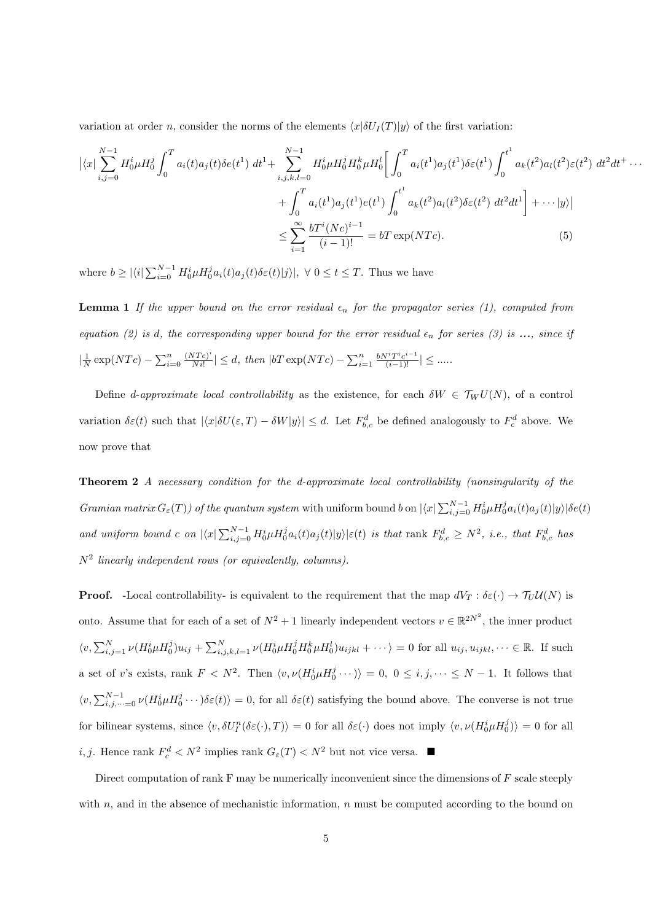variation at order *n*, consider the norms of the elements  $\langle x|\delta U_I(T)|y\rangle$  of the first variation:

$$
\left| \langle x | \sum_{i,j=0}^{N-1} H_0^i \mu H_0^j \int_0^T a_i(t) a_j(t) \delta e(t^1) \, dt^1 + \sum_{i,j,k,l=0}^{N-1} H_0^i \mu H_0^j H_0^k \mu H_0^l \right| \int_0^T a_i(t^1) a_j(t^1) \delta \varepsilon(t^1) \int_0^{t^1} a_k(t^2) a_l(t^2) \varepsilon(t^2) \, dt^2 dt^+ \cdots + \int_0^T a_i(t^1) a_j(t^1) e(t^1) \int_0^{t^1} a_k(t^2) a_l(t^2) \delta \varepsilon(t^2) \, dt^2 dt^1 \right] + \cdots \left| y \right|
$$
  

$$
\leq \sum_{i=1}^{\infty} \frac{b T^i (Nc)^{i-1}}{(i-1)!} = b T \exp(NTc). \tag{5}
$$

where  $b \geq |\langle i| \sum_{i=0}^{N-1} H_0^i \mu H_0^j a_i(t) a_j(t) \delta \varepsilon(t) |j\rangle|, \ \forall \ 0 \leq t \leq T$ . Thus we have

**Lemma 1** *If the upper bound on the error residual*  $\epsilon_n$  *for the propagator series (1), computed from equation (2) is d, the corresponding upper bound for the error residual*  $\epsilon_n$  *for series (3) is* ..., *since if*  $|\frac{1}{N} \exp(NTc) - \sum_{i=0}^{n} \frac{(NTc)^i}{N_i!}$  $\frac{(NTc)^i}{N!}$  | ≤ *d, then* |*bT* exp(*NTc*) *-*  $\sum_{i=1}^n \frac{bN^iT^{i}c^{i-1}}{(i-1)!}$  | ≤ .....

Define *d*-*approximate local controllability* as the existence, for each  $\delta W \in \mathcal{T}_W U(N)$ , of a control variation  $\delta \varepsilon(t)$  such that  $|\langle x|\delta U(\varepsilon,T)-\delta W|y\rangle| \leq d$ . Let  $F_{b,c}^d$  be defined analogously to  $F_c^d$  above. We now prove that

**Theorem 2** *A necessary condition for the d-approximate local controllability (nonsingularity of the* Gramian matrix  $G_{\varepsilon}(T)$  of the quantum system with uniform bound b on  $|\langle x| \sum_{i,j=0}^{N-1} H_0^i \mu H_0^j a_i(t) a_j(t) |y\rangle| \delta e(t)$ and uniform bound c on  $|\langle x|\sum_{i,j=0}^{N-1}H_0^i\mu H_0^ja_i(t)a_j(t)|y\rangle|\varepsilon(t)$  is that rank  $F_{b,c}^d \geq N^2$ , i.e., that  $F_{b,c}^d$  has *N*<sup>2</sup> *linearly independent rows (or equivalently, columns).*

**Proof.** -Local controllability- is equivalent to the requirement that the map  $dV_T : \delta \varepsilon(\cdot) \to \mathcal{T}_U \mathcal{U}(N)$  is onto. Assume that for each of a set of  $N^2 + 1$  linearly independent vectors  $v \in \mathbb{R}^{2N^2}$ , the inner product  $\langle v, \sum_{i,j=1}^{N} \nu(H_0^i \mu H_0^j) u_{ij} + \sum_{i,j,k,l=1}^{N} \nu(H_0^i \mu H_0^j H_0^k \mu H_0^l) u_{ijkl} + \cdots \rangle = 0$  for all  $u_{ij}, u_{ijkl}, \cdots \in \mathbb{R}$ . If such a set of *v*'s exists, rank  $F < N^2$ . Then  $\langle v, \nu(H_0^i \mu H_0^j \cdots) \rangle = 0, 0 \le i, j, \dots \le N-1$ . It follows that  $\langle v, \sum_{i,j,\dots=0}^{N-1} \nu(H_0^i u H_0^j \cdots) \delta \varepsilon(t) \rangle = 0$ , for all  $\delta \varepsilon(t)$  satisfying the bound above. The converse is not true for bilinear systems, since  $\langle v, \delta U_I^n(\delta \varepsilon(\cdot), T) \rangle = 0$  for all  $\delta \varepsilon(\cdot)$  does not imply  $\langle v, \nu(H_0^i \mu H_0^j) \rangle = 0$  for all *i, j.* Hence rank  $F_c^d < N^2$  implies rank  $G_{\varepsilon}(T) < N^2$  but not vice versa.  $\blacksquare$ 

Direct computation of rank F may be numerically inconvenient since the dimensions of *F* scale steeply with *n*, and in the absence of mechanistic information, *n* must be computed according to the bound on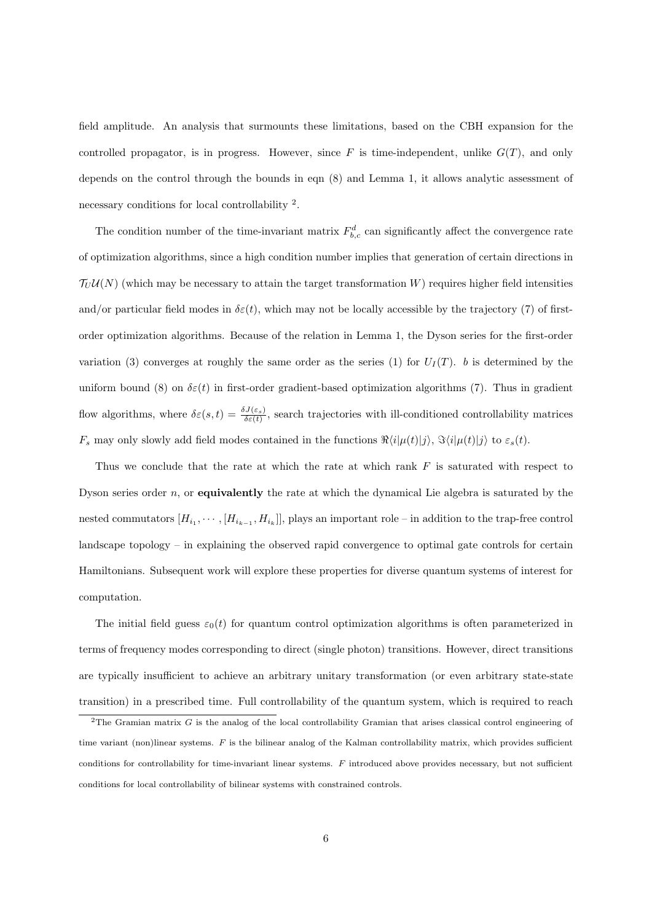field amplitude. An analysis that surmounts these limitations, based on the CBH expansion for the controlled propagator, is in progress. However, since  $F$  is time-independent, unlike  $G(T)$ , and only depends on the control through the bounds in eqn (8) and Lemma 1, it allows analytic assessment of necessary conditions for local controllability <sup>2</sup>.

The condition number of the time-invariant matrix  $F_{b,c}^d$  can significantly affect the convergence rate of optimization algorithms, since a high condition number implies that generation of certain directions in  $\mathcal{T}_U \mathcal{U}(N)$  (which may be necessary to attain the target transformation *W*) requires higher field intensities and/or particular field modes in  $\delta \varepsilon(t)$ , which may not be locally accessible by the trajectory (7) of firstorder optimization algorithms. Because of the relation in Lemma 1, the Dyson series for the first-order variation (3) converges at roughly the same order as the series (1) for  $U_I(T)$ . *b* is determined by the uniform bound (8) on  $\delta \varepsilon(t)$  in first-order gradient-based optimization algorithms (7). Thus in gradient flow algorithms, where  $\delta\varepsilon(s,t) = \frac{\delta J(\varepsilon_s)}{\delta\varepsilon(t)}$ , search trajectories with ill-conditioned controllability matrices  $F_s$  may only slowly add field modes contained in the functions  $\Re\langle i|\mu(t)|j\rangle$ ,  $\Im\langle i|\mu(t)|j\rangle$  to  $\varepsilon_s(t)$ .

Thus we conclude that the rate at which the rate at which rank *F* is saturated with respect to Dyson series order *n*, or **equivalently** the rate at which the dynamical Lie algebra is saturated by the nested commutators  $[H_{i_1}, \cdots, [H_{i_{k-1}}, H_{i_k}]]$ , plays an important role – in addition to the trap-free control landscape topology – in explaining the observed rapid convergence to optimal gate controls for certain Hamiltonians. Subsequent work will explore these properties for diverse quantum systems of interest for computation.

The initial field guess  $\varepsilon_0(t)$  for quantum control optimization algorithms is often parameterized in terms of frequency modes corresponding to direct (single photon) transitions. However, direct transitions are typically insufficient to achieve an arbitrary unitary transformation (or even arbitrary state-state transition) in a prescribed time. Full controllability of the quantum system, which is required to reach

 $2$ The Gramian matrix *G* is the analog of the local controllability Gramian that arises classical control engineering of time variant (non)linear systems. *F* is the bilinear analog of the Kalman controllability matrix, which provides sufficient conditions for controllability for time-invariant linear systems. *F* introduced above provides necessary, but not sufficient conditions for local controllability of bilinear systems with constrained controls.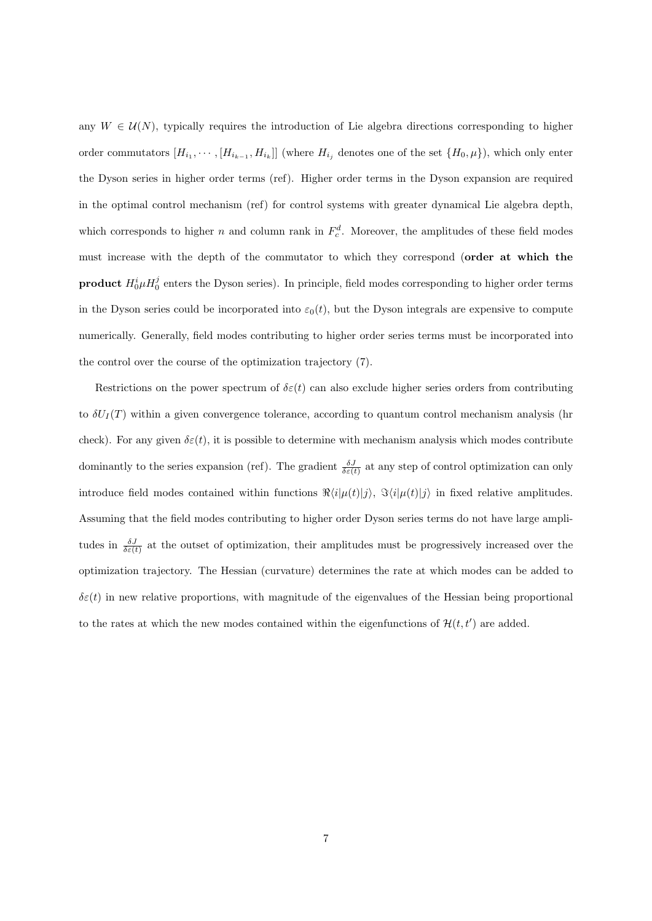any  $W \in \mathcal{U}(N)$ , typically requires the introduction of Lie algebra directions corresponding to higher order commutators  $[H_{i_1}, \cdots, [H_{i_{k-1}}, H_{i_k}]]$  (where  $H_{i_j}$  denotes one of the set  $\{H_0, \mu\}$ ), which only enter the Dyson series in higher order terms (ref). Higher order terms in the Dyson expansion are required in the optimal control mechanism (ref) for control systems with greater dynamical Lie algebra depth, which corresponds to higher *n* and column rank in  $F_c^d$ . Moreover, the amplitudes of these field modes must increase with the depth of the commutator to which they correspond (**order at which the product**  $H_0^i \mu H_0^j$  enters the Dyson series). In principle, field modes corresponding to higher order terms in the Dyson series could be incorporated into  $\varepsilon_0(t)$ , but the Dyson integrals are expensive to compute numerically. Generally, field modes contributing to higher order series terms must be incorporated into the control over the course of the optimization trajectory (7).

Restrictions on the power spectrum of  $\delta \varepsilon(t)$  can also exclude higher series orders from contributing to  $\delta U_I(T)$  within a given convergence tolerance, according to quantum control mechanism analysis (hr check). For any given  $\delta \varepsilon(t)$ , it is possible to determine with mechanism analysis which modes contribute dominantly to the series expansion (ref). The gradient  $\frac{\delta J}{\delta \varepsilon(t)}$  at any step of control optimization can only introduce field modes contained within functions  $\Re\langle i|\mu(t)|j\rangle$ ,  $\Im\langle i|\mu(t)|j\rangle$  in fixed relative amplitudes. Assuming that the field modes contributing to higher order Dyson series terms do not have large amplitudes in  $\frac{\delta J}{\delta \varepsilon(t)}$  at the outset of optimization, their amplitudes must be progressively increased over the optimization trajectory. The Hessian (curvature) determines the rate at which modes can be added to  $\delta \varepsilon(t)$  in new relative proportions, with magnitude of the eigenvalues of the Hessian being proportional to the rates at which the new modes contained within the eigenfunctions of  $\mathcal{H}(t, t')$  are added.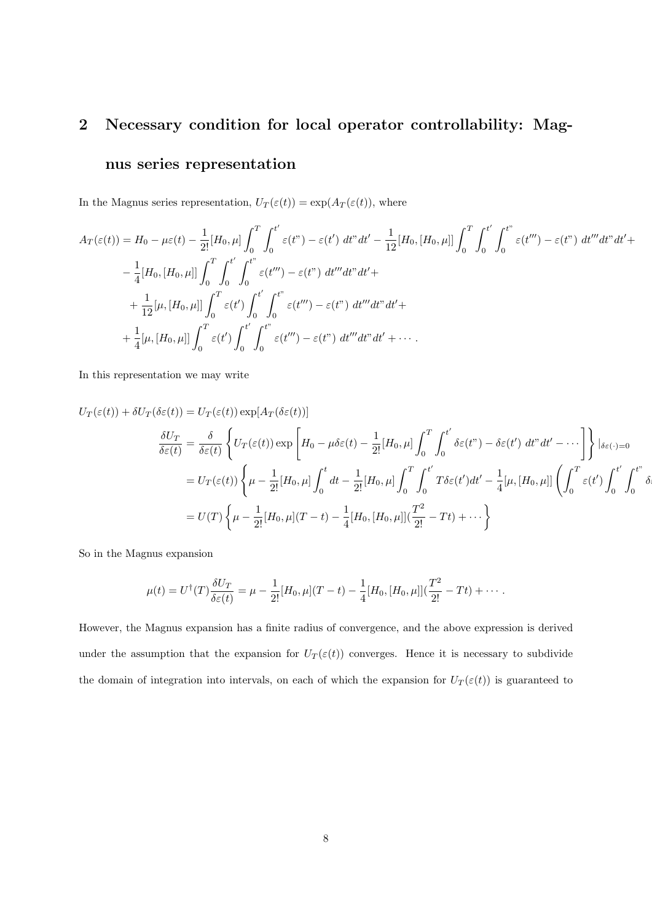#### **2 Necessary condition for local operator controllability: Mag-**

#### **nus series representation**

In the Magnus series representation,  $U_T(\varepsilon(t)) = \exp(A_T(\varepsilon(t)))$ , where

$$
A_T(\varepsilon(t)) = H_0 - \mu \varepsilon(t) - \frac{1}{2!} [H_0, \mu] \int_0^T \int_0^{t'} \varepsilon(t'') - \varepsilon(t') dt'' dt' - \frac{1}{12} [H_0, [H_0, \mu]] \int_0^T \int_0^{t'} \int_0^{t''} \varepsilon(t''') - \varepsilon(t'') dt'' dt' dt' +
$$
  

$$
- \frac{1}{4} [H_0, [H_0, \mu]] \int_0^T \int_0^{t'} \int_0^{t''} \varepsilon(t''') - \varepsilon(t'') dt''' dt'' dt' +
$$
  

$$
+ \frac{1}{12} [\mu, [H_0, \mu]] \int_0^T \varepsilon(t') \int_0^{t'} \int_0^{t''} \varepsilon(t''') - \varepsilon(t'') dt''' dt'' dt' +
$$
  

$$
+ \frac{1}{4} [\mu, [H_0, \mu]] \int_0^T \varepsilon(t') \int_0^{t'} \int_0^{t''} \varepsilon(t''') - \varepsilon(t'') dt''' dt'' dt' + \cdots
$$

In this representation we may write

$$
U_T(\varepsilon(t)) + \delta U_T(\delta \varepsilon(t)) = U_T(\varepsilon(t)) \exp[A_T(\delta \varepsilon(t))]
$$
  

$$
\frac{\delta U_T}{\delta \varepsilon(t)} = \frac{\delta}{\delta \varepsilon(t)} \left\{ U_T(\varepsilon(t)) \exp\left[H_0 - \mu \delta \varepsilon(t) - \frac{1}{2!} [H_0, \mu] \int_0^T \int_0^{t'} \delta \varepsilon(t'') - \delta \varepsilon(t') dt'' dt' - \cdots \right] \right\} |_{\delta \varepsilon(\cdot) = 0}
$$
  

$$
= U_T(\varepsilon(t)) \left\{ \mu - \frac{1}{2!} [H_0, \mu] \int_0^t dt - \frac{1}{2!} [H_0, \mu] \int_0^T \int_0^{t'} T \delta \varepsilon(t') dt' - \frac{1}{4} [\mu, [H_0, \mu]] \left( \int_0^T \varepsilon(t') \int_0^{t'} \int_0^{t''} \delta \delta \varepsilon(t') dt' + \frac{1}{2!} [\mu, [H_0, \mu]] \int_0^{t'} \int_0^{t''} \delta \delta \varepsilon(t') dt' \right\}
$$

So in the Magnus expansion

$$
\mu(t) = U^{\dagger}(T)\frac{\delta U_T}{\delta \varepsilon(t)} = \mu - \frac{1}{2!}[H_0, \mu](T-t) - \frac{1}{4}[H_0, [H_0, \mu]](\frac{T^2}{2!} - Tt) + \cdots.
$$

However, the Magnus expansion has a finite radius of convergence, and the above expression is derived under the assumption that the expansion for  $U_T(\varepsilon(t))$  converges. Hence it is necessary to subdivide the domain of integration into intervals, on each of which the expansion for  $U_T(\varepsilon(t))$  is guaranteed to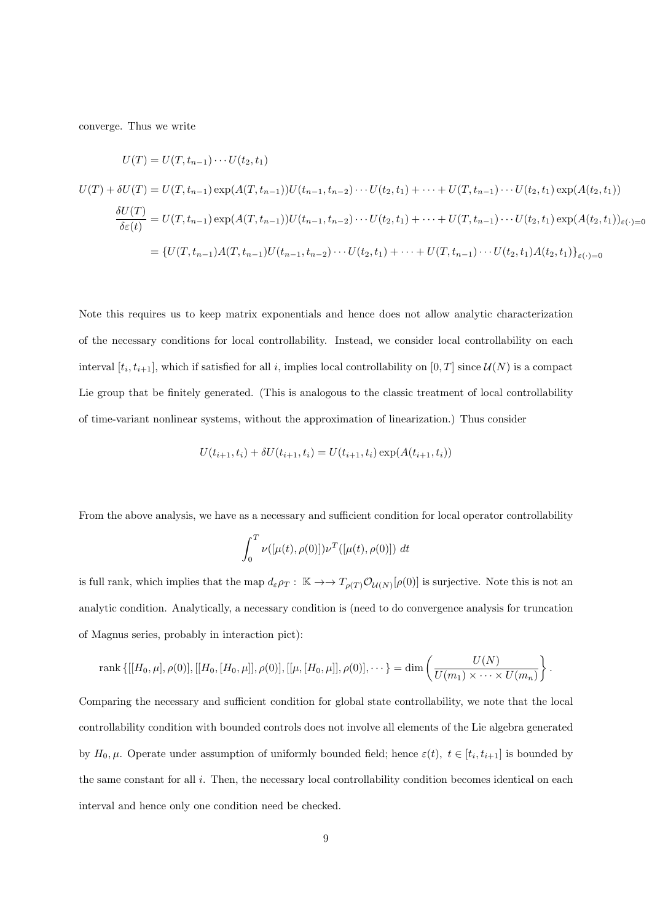converge. Thus we write

$$
U(T) = U(T, t_{n-1}) \cdots U(t_2, t_1)
$$
  
\n
$$
U(T) + \delta U(T) = U(T, t_{n-1}) \exp(A(T, t_{n-1}))U(t_{n-1}, t_{n-2}) \cdots U(t_2, t_1) + \cdots + U(T, t_{n-1}) \cdots U(t_2, t_1) \exp(A(t_2, t_1))
$$
  
\n
$$
\frac{\delta U(T)}{\delta \varepsilon(t)} = U(T, t_{n-1}) \exp(A(T, t_{n-1}))U(t_{n-1}, t_{n-2}) \cdots U(t_2, t_1) + \cdots + U(T, t_{n-1}) \cdots U(t_2, t_1) \exp(A(t_2, t_1))_{\varepsilon(\cdot) = 0}
$$
  
\n
$$
= \{U(T, t_{n-1})A(T, t_{n-1})U(t_{n-1}, t_{n-2}) \cdots U(t_2, t_1) + \cdots + U(T, t_{n-1}) \cdots U(t_2, t_1)A(t_2, t_1)\}_{\varepsilon(\cdot) = 0}
$$

Note this requires us to keep matrix exponentials and hence does not allow analytic characterization of the necessary conditions for local controllability. Instead, we consider local controllability on each interval  $[t_i, t_{i+1}]$ , which if satisfied for all *i*, implies local controllability on  $[0, T]$  since  $\mathcal{U}(N)$  is a compact Lie group that be finitely generated. (This is analogous to the classic treatment of local controllability of time-variant nonlinear systems, without the approximation of linearization.) Thus consider

$$
U(t_{i+1}, t_i) + \delta U(t_{i+1}, t_i) = U(t_{i+1}, t_i) \exp(A(t_{i+1}, t_i))
$$

From the above analysis, we have as a necessary and sufficient condition for local operator controllability

$$
\int_0^T \nu([\mu(t), \rho(0)]) \nu^T([\mu(t), \rho(0)]) dt
$$

is full rank, which implies that the map  $d_{\varepsilon}\rho_T$ :  $\mathbb{K} \to \to T_{\rho(T)}\mathcal{O}_{\mathcal{U}(N)}[\rho(0)]$  is surjective. Note this is not an analytic condition. Analytically, a necessary condition is (need to do convergence analysis for truncation of Magnus series, probably in interaction pict):

rank 
$$
\{[[H_0,\mu],\rho(0)],[[H_0,[H_0,\mu]],\rho(0)],[[\mu,[H_0,\mu]],\rho(0)],\cdots\} = \dim\left(\frac{U(N)}{U(m_1)\times\cdots\times U(m_n)}\right).
$$

Comparing the necessary and sufficient condition for global state controllability, we note that the local controllability condition with bounded controls does not involve all elements of the Lie algebra generated by  $H_0, \mu$ . Operate under assumption of uniformly bounded field; hence  $\varepsilon(t)$ ,  $t \in [t_i, t_{i+1}]$  is bounded by the same constant for all *i*. Then, the necessary local controllability condition becomes identical on each interval and hence only one condition need be checked.